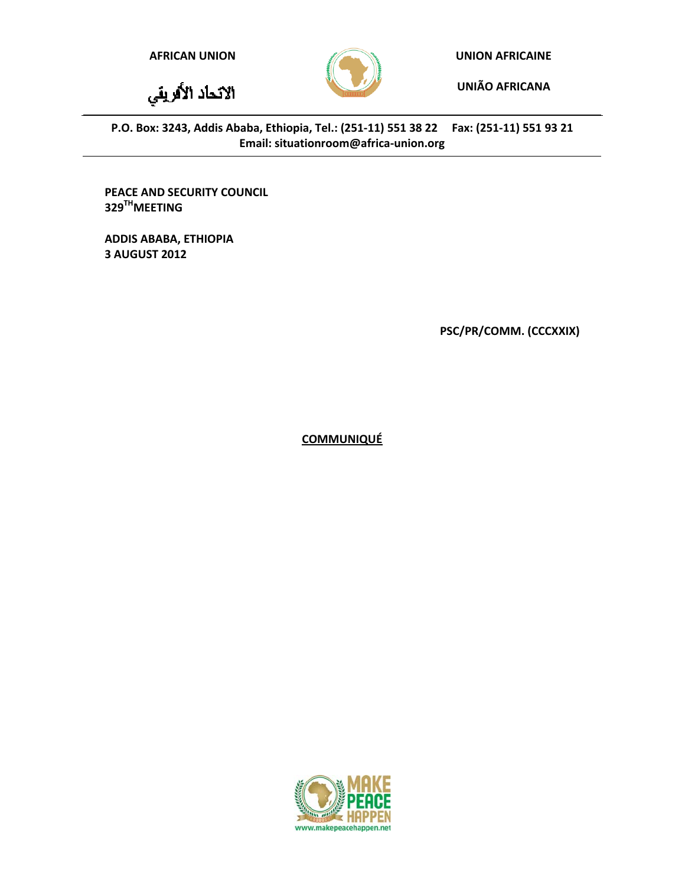الاتحاد الأفريقي



**AFRICAN UNION UNION AFRICAINE**

**UNIÃO AFRICANA**

P.O. Box: 3243, Addis Ababa, Ethiopia, Tel.: (251-11) 551 38 22 Fax: (251-11) 551 93 21 **Email: situationroom@africa‐union.org**

**PEACE AND SECURITY COUNCIL 329THMEETING**

**ADDIS ABABA, ETHIOPIA 3 AUGUST 2012**

**PSC/PR/COMM. (CCCXXIX)**

**COMMUNIQUÉ**

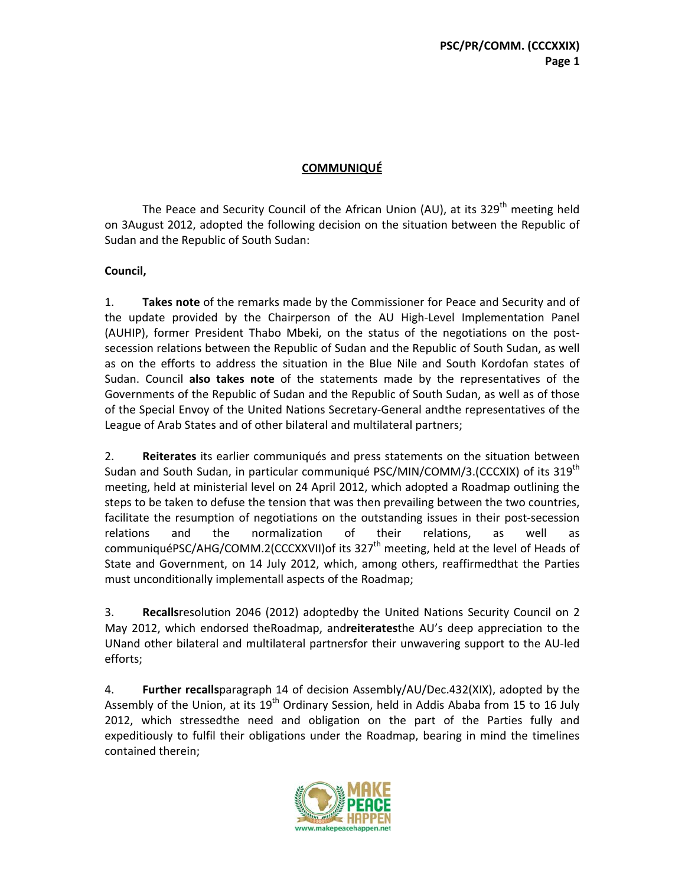## **COMMUNIQUÉ**

The Peace and Security Council of the African Union (AU), at its  $329<sup>th</sup>$  meeting held on 3August 2012, adopted the following decision on the situation between the Republic of Sudan and the Republic of South Sudan:

## **Council,**

1. **Takes note** of the remarks made by the Commissioner for Peace and Security and of the update provided by the Chairperson of the AU High‐Level Implementation Panel (AUHIP), former President Thabo Mbeki, on the status of the negotiations on the post‐ secession relations between the Republic of Sudan and the Republic of South Sudan, as well as on the efforts to address the situation in the Blue Nile and South Kordofan states of Sudan. Council **also takes note** of the statements made by the representatives of the Governments of the Republic of Sudan and the Republic of South Sudan, as well as of those of the Special Envoy of the United Nations Secretary‐General andthe representatives of the League of Arab States and of other bilateral and multilateral partners;

2. **Reiterates** its earlier communiqués and press statements on the situation between Sudan and South Sudan, in particular communiqué PSC/MIN/COMM/3.(CCCXIX) of its 319<sup>th</sup> meeting, held at ministerial level on 24 April 2012, which adopted a Roadmap outlining the steps to be taken to defuse the tension that was then prevailing between the two countries, facilitate the resumption of negotiations on the outstanding issues in their post-secession relations and the normalization of their relations, as well as communiquéPSC/AHG/COMM.2(CCCXXVII)of its 327<sup>th</sup> meeting, held at the level of Heads of State and Government, on 14 July 2012, which, among others, reaffirmedthat the Parties must unconditionally implementall aspects of the Roadmap;

3. **Recalls**resolution 2046 (2012) adoptedby the United Nations Security Council on 2 May 2012, which endorsed theRoadmap, and**reiterates**the AU's deep appreciation to the UNand other bilateral and multilateral partnersfor their unwavering support to the AU‐led efforts;

4. **Further recalls**paragraph 14 of decision Assembly/AU/Dec.432(XIX), adopted by the Assembly of the Union, at its  $19^{th}$  Ordinary Session, held in Addis Ababa from 15 to 16 July 2012, which stressedthe need and obligation on the part of the Parties fully and expeditiously to fulfil their obligations under the Roadmap, bearing in mind the timelines contained therein;

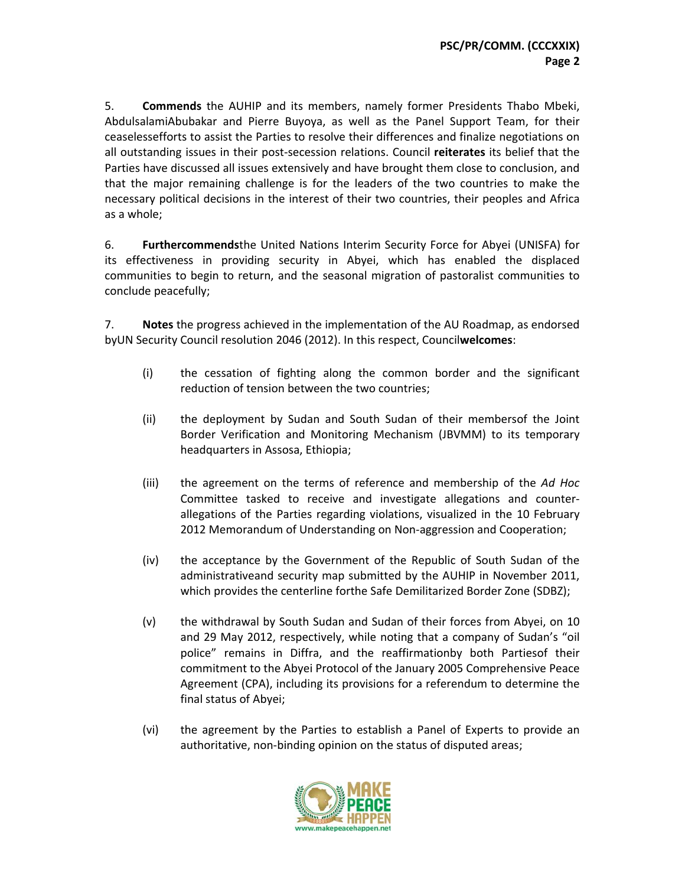5. **Commends** the AUHIP and its members, namely former Presidents Thabo Mbeki, AbdulsalamiAbubakar and Pierre Buyoya, as well as the Panel Support Team, for their ceaselessefforts to assist the Parties to resolve their differences and finalize negotiations on all outstanding issues in their post‐secession relations. Council **reiterates** its belief that the Parties have discussed all issues extensively and have brought them close to conclusion, and that the major remaining challenge is for the leaders of the two countries to make the necessary political decisions in the interest of their two countries, their peoples and Africa as a whole;

6. **Furthercommends**the United Nations Interim Security Force for Abyei (UNISFA) for its effectiveness in providing security in Abyei, which has enabled the displaced communities to begin to return, and the seasonal migration of pastoralist communities to conclude peacefully;

7. **Notes** the progress achieved in the implementation of the AU Roadmap, as endorsed byUN Security Council resolution 2046 (2012). In this respect, Council**welcomes**:

- (i) the cessation of fighting along the common border and the significant reduction of tension between the two countries;
- (ii) the deployment by Sudan and South Sudan of their membersof the Joint Border Verification and Monitoring Mechanism (JBVMM) to its temporary headquarters in Assosa, Ethiopia;
- (iii) the agreement on the terms of reference and membership of the *Ad Hoc* Committee tasked to receive and investigate allegations and counter‐ allegations of the Parties regarding violations, visualized in the 10 February 2012 Memorandum of Understanding on Non-aggression and Cooperation;
- (iv) the acceptance by the Government of the Republic of South Sudan of the administrativeand security map submitted by the AUHIP in November 2011, which provides the centerline forthe Safe Demilitarized Border Zone (SDBZ);
- (v) the withdrawal by South Sudan and Sudan of their forces from Abyei, on 10 and 29 May 2012, respectively, while noting that a company of Sudan's "oil police" remains in Diffra, and the reaffirmationby both Partiesof their commitment to the Abyei Protocol of the January 2005 Comprehensive Peace Agreement (CPA), including its provisions for a referendum to determine the final status of Abyei;
- (vi) the agreement by the Parties to establish a Panel of Experts to provide an authoritative, non‐binding opinion on the status of disputed areas;

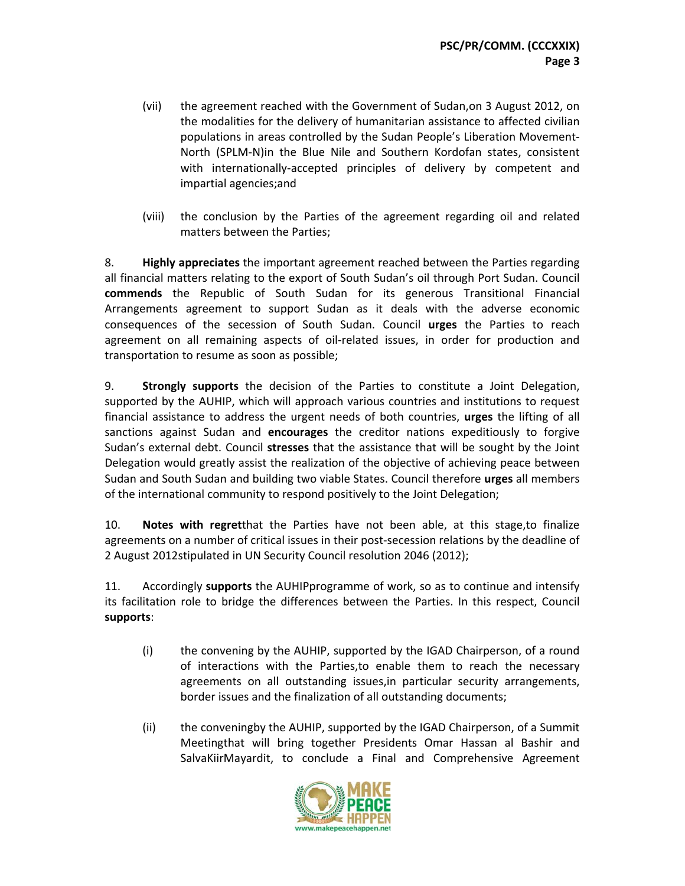- (vii) the agreement reached with the Government of Sudan,on 3 August 2012, on the modalities for the delivery of humanitarian assistance to affected civilian populations in areas controlled by the Sudan People's Liberation Movement‐ North (SPLM‐N)in the Blue Nile and Southern Kordofan states, consistent with internationally-accepted principles of delivery by competent and impartial agencies;and
- (viii) the conclusion by the Parties of the agreement regarding oil and related matters between the Parties;

8. **Highly appreciates** the important agreement reached between the Parties regarding all financial matters relating to the export of South Sudan's oil through Port Sudan. Council **commends** the Republic of South Sudan for its generous Transitional Financial Arrangements agreement to support Sudan as it deals with the adverse economic consequences of the secession of South Sudan. Council **urges** the Parties to reach agreement on all remaining aspects of oil-related issues, in order for production and transportation to resume as soon as possible;

9. **Strongly supports** the decision of the Parties to constitute a Joint Delegation, supported by the AUHIP, which will approach various countries and institutions to request financial assistance to address the urgent needs of both countries, **urges** the lifting of all sanctions against Sudan and **encourages** the creditor nations expeditiously to forgive Sudan's external debt. Council **stresses** that the assistance that will be sought by the Joint Delegation would greatly assist the realization of the objective of achieving peace between Sudan and South Sudan and building two viable States. Council therefore **urges** all members of the international community to respond positively to the Joint Delegation;

10. **Notes with regret**that the Parties have not been able, at this stage,to finalize agreements on a number of critical issues in their post-secession relations by the deadline of 2 August 2012stipulated in UN Security Council resolution 2046 (2012);

11. Accordingly **supports** the AUHIPprogramme of work, so as to continue and intensify its facilitation role to bridge the differences between the Parties. In this respect, Council **supports**:

- (i) the convening by the AUHIP, supported by the IGAD Chairperson, of a round of interactions with the Parties,to enable them to reach the necessary agreements on all outstanding issues,in particular security arrangements, border issues and the finalization of all outstanding documents;
- (ii) the conveningby the AUHIP, supported by the IGAD Chairperson, of a Summit Meetingthat will bring together Presidents Omar Hassan al Bashir and SalvaKiirMayardit, to conclude a Final and Comprehensive Agreement

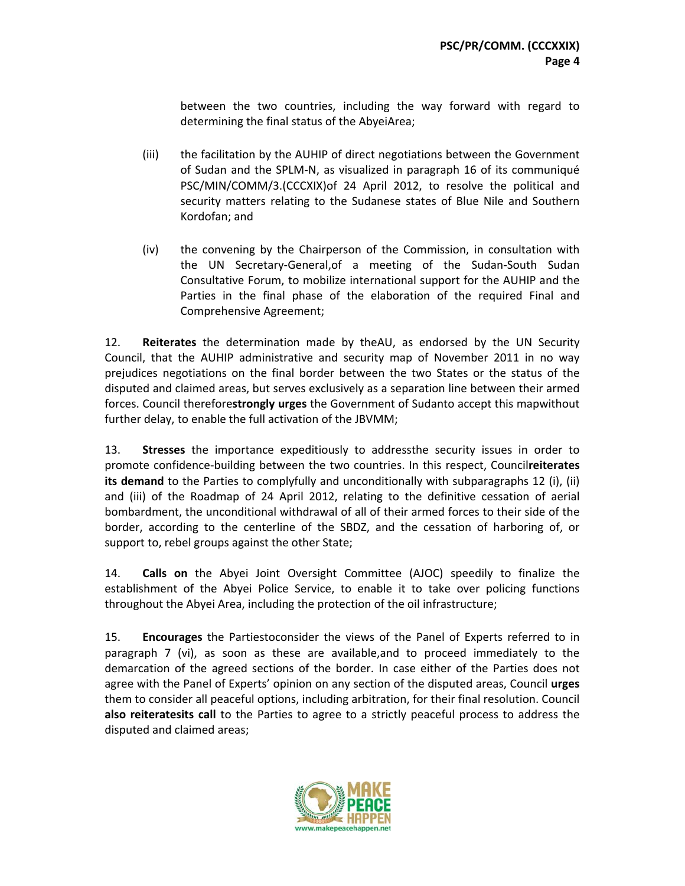between the two countries, including the way forward with regard to determining the final status of the AbyeiArea;

- (iii) the facilitation by the AUHIP of direct negotiations between the Government of Sudan and the SPLM‐N, as visualized in paragraph 16 of its communiqué PSC/MIN/COMM/3.(CCCXIX)of 24 April 2012, to resolve the political and security matters relating to the Sudanese states of Blue Nile and Southern Kordofan; and
- (iv) the convening by the Chairperson of the Commission, in consultation with the UN Secretary‐General,of a meeting of the Sudan‐South Sudan Consultative Forum, to mobilize international support for the AUHIP and the Parties in the final phase of the elaboration of the required Final and Comprehensive Agreement;

12. **Reiterates** the determination made by theAU, as endorsed by the UN Security Council, that the AUHIP administrative and security map of November 2011 in no way prejudices negotiations on the final border between the two States or the status of the disputed and claimed areas, but serves exclusively as a separation line between their armed forces. Council therefore**strongly urges** the Government of Sudanto accept this mapwithout further delay, to enable the full activation of the JBVMM;

13. **Stresses** the importance expeditiously to addressthe security issues in order to promote confidence‐building between the two countries. In this respect, Council**reiterates its demand** to the Parties to complyfully and unconditionally with subparagraphs 12 (i), (ii) and (iii) of the Roadmap of 24 April 2012, relating to the definitive cessation of aerial bombardment, the unconditional withdrawal of all of their armed forces to their side of the border, according to the centerline of the SBDZ, and the cessation of harboring of, or support to, rebel groups against the other State;

14. **Calls on** the Abyei Joint Oversight Committee (AJOC) speedily to finalize the establishment of the Abyei Police Service, to enable it to take over policing functions throughout the Abyei Area, including the protection of the oil infrastructure;

15. **Encourages** the Partiestoconsider the views of the Panel of Experts referred to in paragraph 7 (vi), as soon as these are available,and to proceed immediately to the demarcation of the agreed sections of the border. In case either of the Parties does not agree with the Panel of Experts' opinion on any section of the disputed areas, Council **urges** them to consider all peaceful options, including arbitration, for their final resolution. Council **also reiteratesits call** to the Parties to agree to a strictly peaceful process to address the disputed and claimed areas;